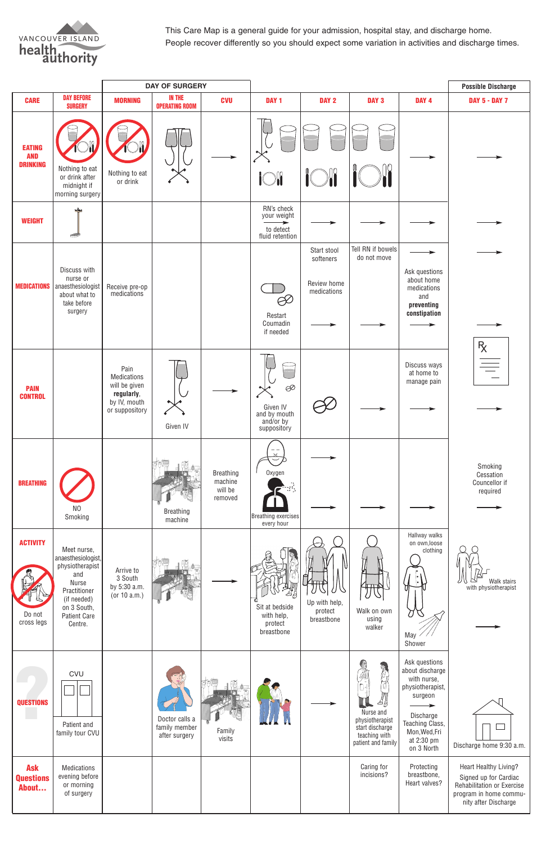This Care Map is a general guide for your admission, hospital stay, and discharge home. People recover differently so you should expect some variation in activities and discharge times.



|                                                |                                                                                                                                                      |                                                                                             | <b>DAY OF SURGERY</b>                            |                                                   |                                                                            |                                                        |                                                                                                   |                                                                                                                                                             | <b>Possible Discharge</b>                                                                                                      |
|------------------------------------------------|------------------------------------------------------------------------------------------------------------------------------------------------------|---------------------------------------------------------------------------------------------|--------------------------------------------------|---------------------------------------------------|----------------------------------------------------------------------------|--------------------------------------------------------|---------------------------------------------------------------------------------------------------|-------------------------------------------------------------------------------------------------------------------------------------------------------------|--------------------------------------------------------------------------------------------------------------------------------|
| <b>CARE</b>                                    | <b>DAY BEFORE</b><br><b>SURGERY</b>                                                                                                                  | <b>MORNING</b>                                                                              | <b>IN THE</b><br><b>OPERATING ROOM</b>           | <b>CVU</b>                                        | DAY <sub>1</sub>                                                           | DAY 2                                                  | DAY <sub>3</sub>                                                                                  | DAY <sub>4</sub>                                                                                                                                            | <b>DAY 5 - DAY 7</b>                                                                                                           |
| <b>EATING</b><br><b>AND</b><br><b>DRINKING</b> | Nothing to eat<br>or drink after<br>midnight if<br>morning surgery                                                                                   | Nothing to eat<br>or drink                                                                  |                                                  |                                                   | <b>iOli</b>                                                                | $\int_{0}^{0}$                                         |                                                                                                   |                                                                                                                                                             |                                                                                                                                |
| <b>WEIGHT</b>                                  | չ⊫<br>$\overline{\phantom{a}}$                                                                                                                       |                                                                                             |                                                  |                                                   | RN's check<br>your weight<br>$\rightarrow$<br>to detect<br>fluid retention |                                                        |                                                                                                   |                                                                                                                                                             |                                                                                                                                |
| <b>MEDICATIONS</b>                             | Discuss with<br>nurse or<br>anaesthesiologist<br>about what to<br>take before<br>surgery                                                             | Receive pre-op<br>medications                                                               |                                                  |                                                   | $\beta\!\!\!\!\beta\!\!\!\!\beta$<br>Restart<br>Coumadin<br>if needed      | Start stool<br>softeners<br>Review home<br>medications | Tell RN if bowels<br>do not move                                                                  | Ask questions<br>about home<br>medications<br>and<br>preventing<br>constipation                                                                             |                                                                                                                                |
| <b>PAIN</b><br><b>CONTROL</b>                  |                                                                                                                                                      | Pain<br><b>Medications</b><br>will be given<br>regularly,<br>by IV, mouth<br>or suppository | Given IV                                         |                                                   | Þ<br>Given IV<br>and by mouth<br>and/or by<br>suppository                  |                                                        |                                                                                                   | Discuss ways<br>at home to<br>manage pain                                                                                                                   | $R_{\chi}$                                                                                                                     |
| <b>BREATHING</b>                               | N <sub>O</sub><br>Smoking                                                                                                                            |                                                                                             | <b>Breathing</b><br>machine                      | <b>Breathing</b><br>machine<br>will be<br>removed | Oxygen<br>Breathing exercises<br>every hour                                |                                                        |                                                                                                   |                                                                                                                                                             | Smoking<br>Cessation<br>Councellor if<br>required                                                                              |
| <b>ACTIVITY</b><br>Do not<br>cross legs        | Meet nurse,<br>anaesthesiologist,<br>physiotherapist<br>and<br>Nurse<br>Practitioner<br>(if needed)<br>on 3 South,<br><b>Patient Care</b><br>Centre. | Arrive to<br>3 South<br>by 5:30 a.m.<br>(or 10 a.m.)                                        |                                                  |                                                   | Sit at bedside<br>with help,<br>protect<br>breastbone                      | Up with help,<br>protect<br>breastbone                 | ╨╨<br>Walk on own<br>using<br>walker                                                              | Hallway walks<br>on own, loose<br>clothing<br>May<br>Shower                                                                                                 | Walk stairs<br>with physiotherapist                                                                                            |
| <b>QUESTIONS</b>                               | <b>CVU</b><br>Patient and<br>family tour CVU                                                                                                         |                                                                                             | Doctor calls a<br>family member<br>after surgery | Family<br>visits                                  |                                                                            |                                                        | 4<br>IL<br>Nurse and<br>physiotherapist<br>start discharge<br>teaching with<br>patient and family | Ask questions<br>about discharge<br>with nurse,<br>physiotherapist,<br>surgeon<br>Discharge<br>Teaching Class,<br>Mon, Wed, Fri<br>at 2:30 pm<br>on 3 North | Л<br>Discharge home 9:30 a.m.                                                                                                  |
| <b>Ask</b><br><b>Questions</b><br>About        | Medications<br>evening before<br>or morning<br>of surgery                                                                                            |                                                                                             |                                                  |                                                   |                                                                            |                                                        | Caring for<br>incisions?                                                                          | Protecting<br>breastbone,<br>Heart valves?                                                                                                                  | Heart Healthy Living?<br>Signed up for Cardiac<br>Rehabilitation or Exercise<br>program in home commu-<br>nity after Discharge |